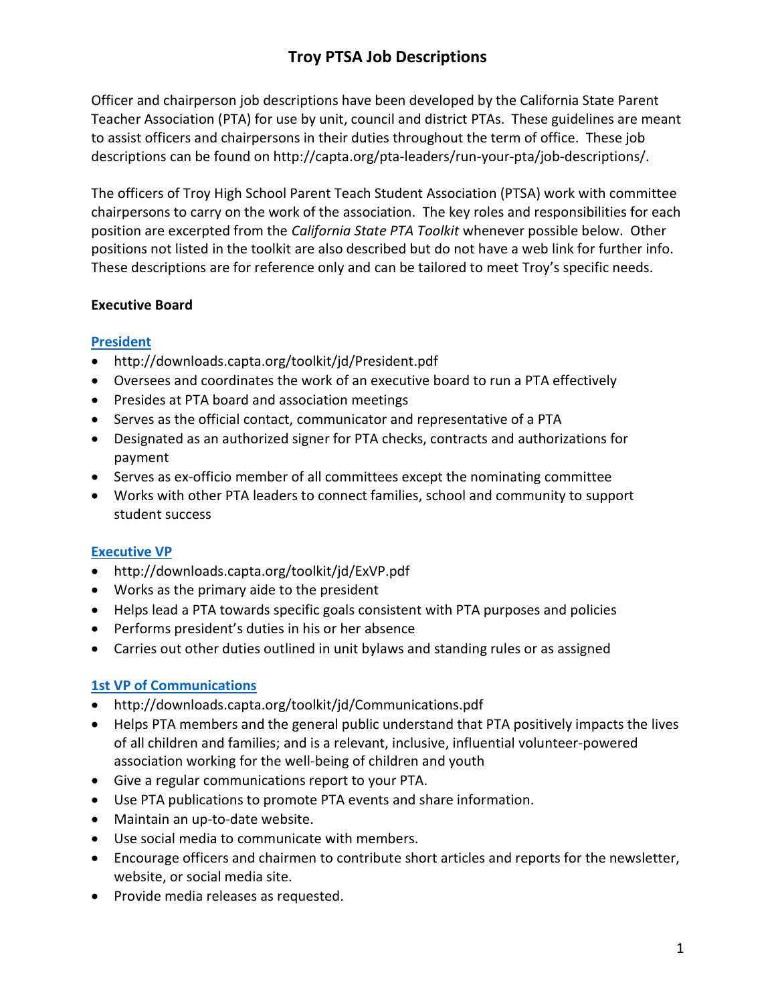# Troy PTSA Job Descriptions

Officer and chairperson job descriptions have been developed by the California State Parent Teacher Association (PTA) for use by unit, council and district PTAs. These guidelines are meant to assist officers and chairpersons in their duties throughout the term of office. These job descriptions can be found on http://capta.org/pta-leaders/run-your-pta/job-descriptions/.

The officers of Troy High School Parent Teach Student Association (PTSA) work with committee chairpersons to carry on the work of the association. The key roles and responsibilities for each position are excerpted from the California State PTA Toolkit whenever possible below. Other positions not listed in the toolkit are also described but do not have a web link for further info. These descriptions are for reference only and can be tailored to meet Troy's specific needs.

#### Executive Board

#### President

- http://downloads.capta.org/toolkit/jd/President.pdf
- Oversees and coordinates the work of an executive board to run a PTA effectively
- Presides at PTA board and association meetings
- Serves as the official contact, communicator and representative of a PTA
- Designated as an authorized signer for PTA checks, contracts and authorizations for payment
- Serves as ex-officio member of all committees except the nominating committee
- Works with other PTA leaders to connect families, school and community to support student success

#### Executive VP

- http://downloads.capta.org/toolkit/jd/ExVP.pdf
- Works as the primary aide to the president
- Helps lead a PTA towards specific goals consistent with PTA purposes and policies
- Performs president's duties in his or her absence
- Carries out other duties outlined in unit bylaws and standing rules or as assigned

### 1st VP of Communications

- http://downloads.capta.org/toolkit/jd/Communications.pdf
- Helps PTA members and the general public understand that PTA positively impacts the lives of all children and families; and is a relevant, inclusive, influential volunteer-powered association working for the well-being of children and youth
- Give a regular communications report to your PTA.
- Use PTA publications to promote PTA events and share information.
- Maintain an up-to-date website.
- Use social media to communicate with members.
- Encourage officers and chairmen to contribute short articles and reports for the newsletter, website, or social media site.
- Provide media releases as requested.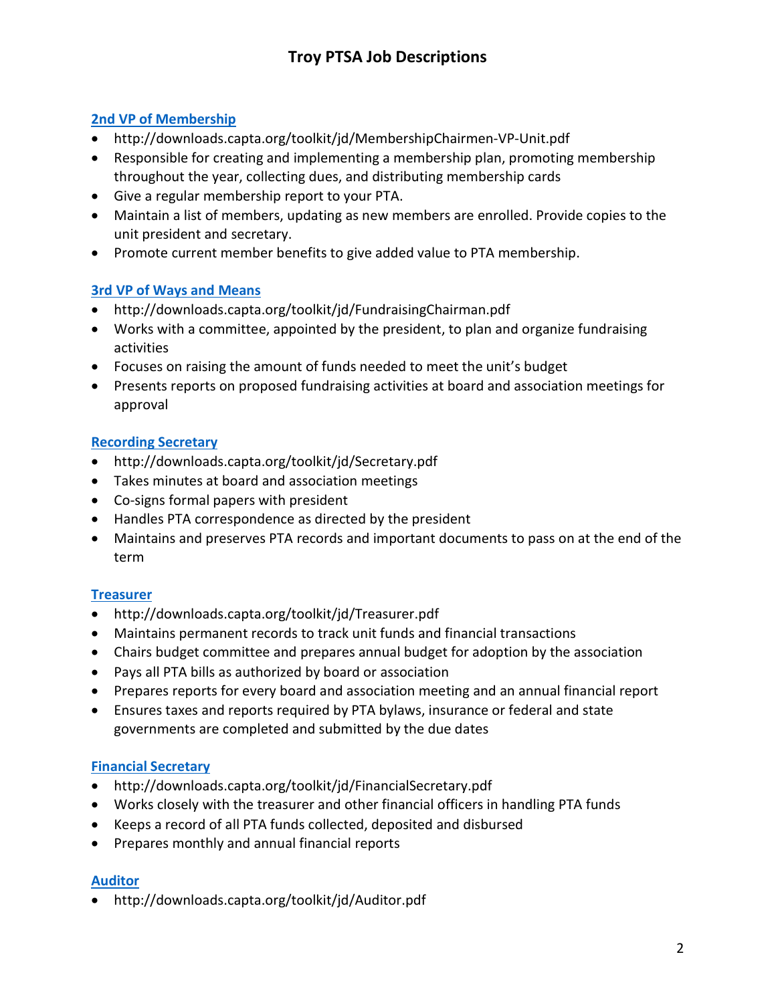### 2nd VP of Membership

- http://downloads.capta.org/toolkit/jd/MembershipChairmen-VP-Unit.pdf
- Responsible for creating and implementing a membership plan, promoting membership throughout the year, collecting dues, and distributing membership cards
- Give a regular membership report to your PTA.
- Maintain a list of members, updating as new members are enrolled. Provide copies to the unit president and secretary.
- Promote current member benefits to give added value to PTA membership.

### 3rd VP of Ways and Means

- http://downloads.capta.org/toolkit/jd/FundraisingChairman.pdf
- Works with a committee, appointed by the president, to plan and organize fundraising activities
- Focuses on raising the amount of funds needed to meet the unit's budget
- Presents reports on proposed fundraising activities at board and association meetings for approval

### Recording Secretary

- http://downloads.capta.org/toolkit/jd/Secretary.pdf
- Takes minutes at board and association meetings
- Co-signs formal papers with president
- Handles PTA correspondence as directed by the president
- Maintains and preserves PTA records and important documents to pass on at the end of the term

### **Treasurer**

- http://downloads.capta.org/toolkit/jd/Treasurer.pdf
- Maintains permanent records to track unit funds and financial transactions
- Chairs budget committee and prepares annual budget for adoption by the association
- Pays all PTA bills as authorized by board or association
- Prepares reports for every board and association meeting and an annual financial report
- Ensures taxes and reports required by PTA bylaws, insurance or federal and state governments are completed and submitted by the due dates

### Financial Secretary

- http://downloads.capta.org/toolkit/jd/FinancialSecretary.pdf
- Works closely with the treasurer and other financial officers in handling PTA funds
- Keeps a record of all PTA funds collected, deposited and disbursed
- Prepares monthly and annual financial reports

### Auditor

http://downloads.capta.org/toolkit/jd/Auditor.pdf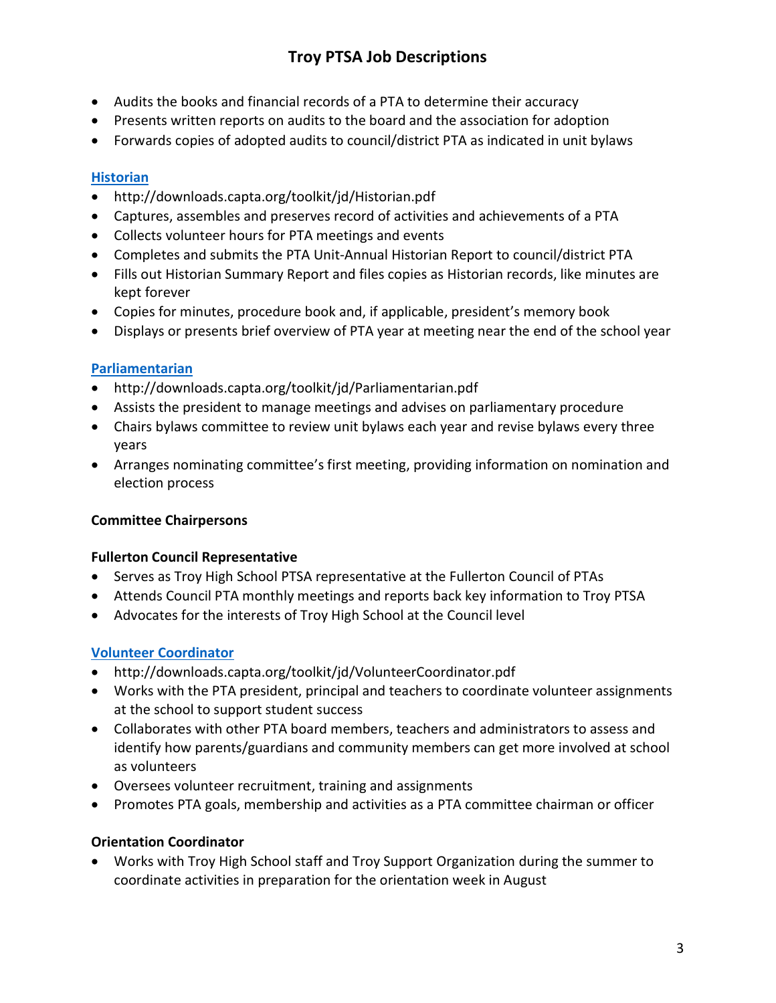- Audits the books and financial records of a PTA to determine their accuracy
- Presents written reports on audits to the board and the association for adoption
- Forwards copies of adopted audits to council/district PTA as indicated in unit bylaws

### **Historian**

- http://downloads.capta.org/toolkit/jd/Historian.pdf
- Captures, assembles and preserves record of activities and achievements of a PTA
- Collects volunteer hours for PTA meetings and events
- Completes and submits the PTA Unit-Annual Historian Report to council/district PTA
- Fills out Historian Summary Report and files copies as Historian records, like minutes are kept forever
- Copies for minutes, procedure book and, if applicable, president's memory book
- Displays or presents brief overview of PTA year at meeting near the end of the school year

### **Parliamentarian**

- http://downloads.capta.org/toolkit/jd/Parliamentarian.pdf
- Assists the president to manage meetings and advises on parliamentary procedure
- Chairs bylaws committee to review unit bylaws each year and revise bylaws every three years
- Arranges nominating committee's first meeting, providing information on nomination and election process

### Committee Chairpersons

### Fullerton Council Representative

- Serves as Troy High School PTSA representative at the Fullerton Council of PTAs
- Attends Council PTA monthly meetings and reports back key information to Troy PTSA
- Advocates for the interests of Troy High School at the Council level

### Volunteer Coordinator

- http://downloads.capta.org/toolkit/jd/VolunteerCoordinator.pdf
- Works with the PTA president, principal and teachers to coordinate volunteer assignments at the school to support student success
- Collaborates with other PTA board members, teachers and administrators to assess and identify how parents/guardians and community members can get more involved at school as volunteers
- Oversees volunteer recruitment, training and assignments
- Promotes PTA goals, membership and activities as a PTA committee chairman or officer

### Orientation Coordinator

 Works with Troy High School staff and Troy Support Organization during the summer to coordinate activities in preparation for the orientation week in August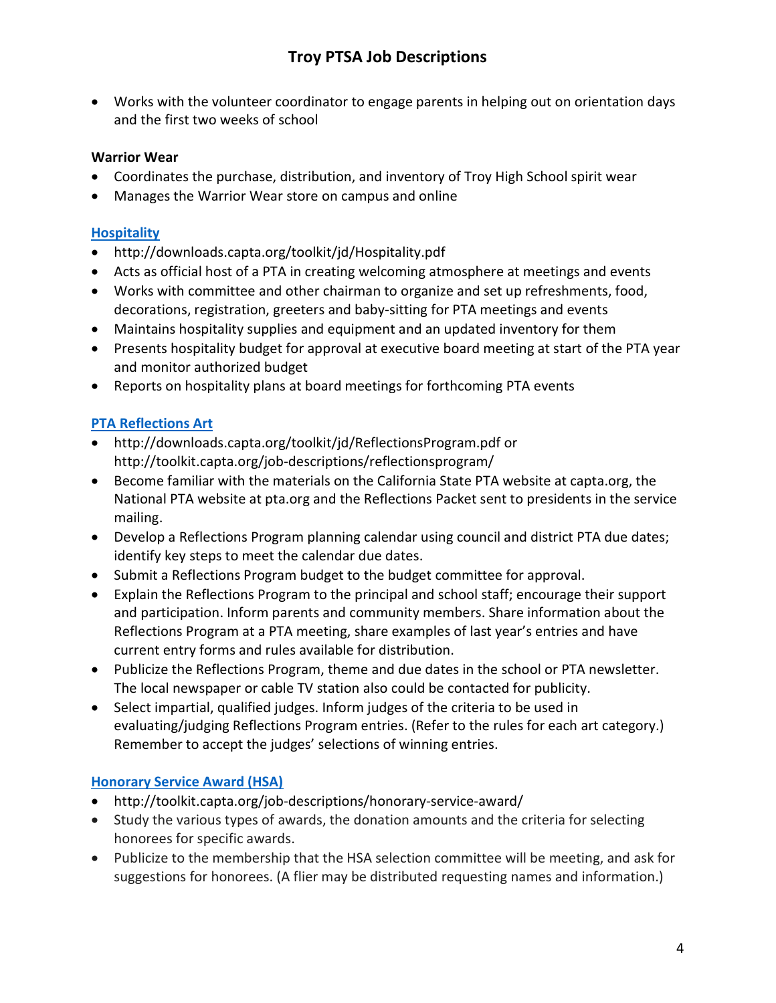Works with the volunteer coordinator to engage parents in helping out on orientation days and the first two weeks of school

#### Warrior Wear

- Coordinates the purchase, distribution, and inventory of Troy High School spirit wear
- Manages the Warrior Wear store on campus and online

#### **Hospitality**

- http://downloads.capta.org/toolkit/jd/Hospitality.pdf
- Acts as official host of a PTA in creating welcoming atmosphere at meetings and events
- Works with committee and other chairman to organize and set up refreshments, food, decorations, registration, greeters and baby-sitting for PTA meetings and events
- Maintains hospitality supplies and equipment and an updated inventory for them
- Presents hospitality budget for approval at executive board meeting at start of the PTA year and monitor authorized budget
- Reports on hospitality plans at board meetings for forthcoming PTA events

### PTA Reflections Art

- http://downloads.capta.org/toolkit/jd/ReflectionsProgram.pdf or http://toolkit.capta.org/job-descriptions/reflectionsprogram/
- Become familiar with the materials on the California State PTA website at capta.org, the National PTA website at pta.org and the Reflections Packet sent to presidents in the service mailing.
- Develop a Reflections Program planning calendar using council and district PTA due dates; identify key steps to meet the calendar due dates.
- Submit a Reflections Program budget to the budget committee for approval.
- Explain the Reflections Program to the principal and school staff; encourage their support and participation. Inform parents and community members. Share information about the Reflections Program at a PTA meeting, share examples of last year's entries and have current entry forms and rules available for distribution.
- Publicize the Reflections Program, theme and due dates in the school or PTA newsletter. The local newspaper or cable TV station also could be contacted for publicity.
- Select impartial, qualified judges. Inform judges of the criteria to be used in evaluating/judging Reflections Program entries. (Refer to the rules for each art category.) Remember to accept the judges' selections of winning entries.

### Honorary Service Award (HSA)

- http://toolkit.capta.org/job-descriptions/honorary-service-award/
- Study the various types of awards, the donation amounts and the criteria for selecting honorees for specific awards.
- Publicize to the membership that the HSA selection committee will be meeting, and ask for suggestions for honorees. (A flier may be distributed requesting names and information.)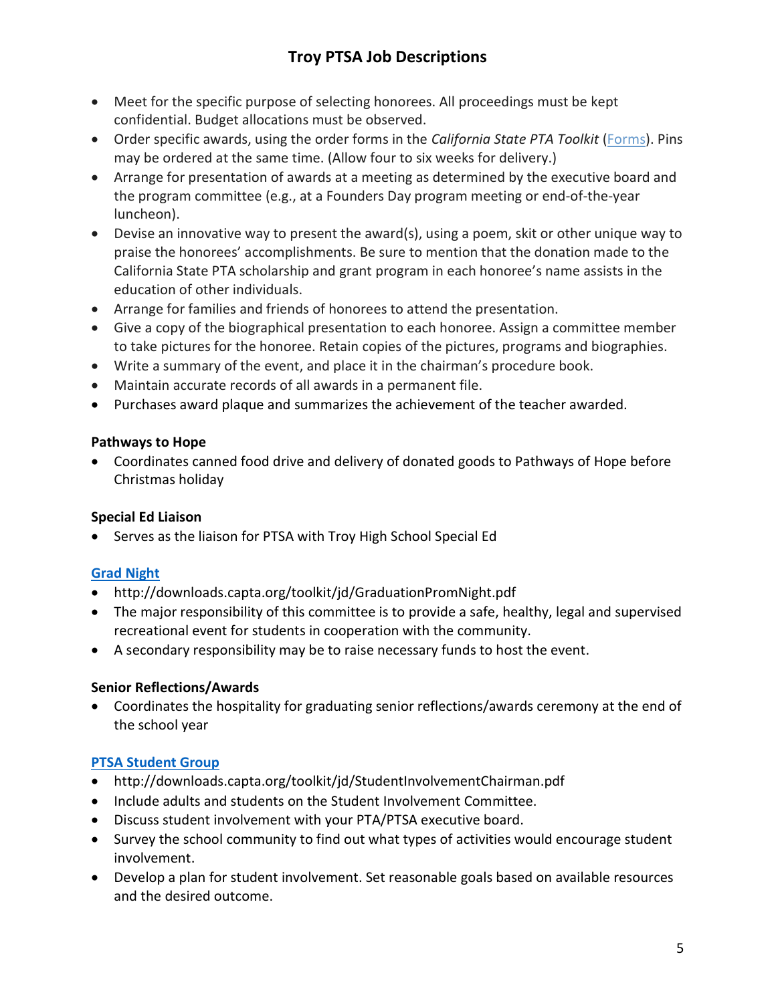- Meet for the specific purpose of selecting honorees. All proceedings must be kept confidential. Budget allocations must be observed.
- Order specific awards, using the order forms in the California State PTA Toolkit (Forms). Pins may be ordered at the same time. (Allow four to six weeks for delivery.)
- Arrange for presentation of awards at a meeting as determined by the executive board and the program committee (e.g., at a Founders Day program meeting or end-of-the-year luncheon).
- Devise an innovative way to present the award(s), using a poem, skit or other unique way to praise the honorees' accomplishments. Be sure to mention that the donation made to the California State PTA scholarship and grant program in each honoree's name assists in the education of other individuals.
- Arrange for families and friends of honorees to attend the presentation.
- Give a copy of the biographical presentation to each honoree. Assign a committee member to take pictures for the honoree. Retain copies of the pictures, programs and biographies.
- Write a summary of the event, and place it in the chairman's procedure book.
- Maintain accurate records of all awards in a permanent file.
- Purchases award plaque and summarizes the achievement of the teacher awarded.

#### Pathways to Hope

 Coordinates canned food drive and delivery of donated goods to Pathways of Hope before Christmas holiday

### Special Ed Liaison

Serves as the liaison for PTSA with Troy High School Special Ed

## Grad Night

- http://downloads.capta.org/toolkit/jd/GraduationPromNight.pdf
- The major responsibility of this committee is to provide a safe, healthy, legal and supervised recreational event for students in cooperation with the community.
- A secondary responsibility may be to raise necessary funds to host the event.

### Senior Reflections/Awards

 Coordinates the hospitality for graduating senior reflections/awards ceremony at the end of the school year

### PTSA Student Group

- http://downloads.capta.org/toolkit/jd/StudentInvolvementChairman.pdf
- Include adults and students on the Student Involvement Committee.
- Discuss student involvement with your PTA/PTSA executive board.
- Survey the school community to find out what types of activities would encourage student involvement.
- Develop a plan for student involvement. Set reasonable goals based on available resources and the desired outcome.